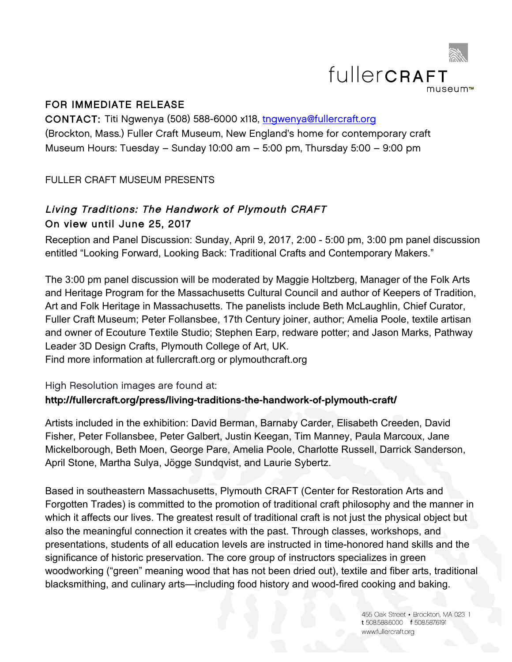

## FOR IMMEDIATE RELEASE

CONTACT: Titi Ngwenya (508) 588-6000 x118, tngwenya@fullercraft.org (Brockton, Mass.) Fuller Craft Museum, New England's home for contemporary craft Museum Hours: Tuesday – Sunday 10:00 am – 5:00 pm, Thursday 5:00 – 9:00 pm

FULLER CRAFT MUSEUM PRESENTS

# Living Traditions: The Handwork of Plymouth CRAFT On view until June 25, 2017

Reception and Panel Discussion: Sunday, April 9, 2017, 2:00 - 5:00 pm, 3:00 pm panel discussion entitled "Looking Forward, Looking Back: Traditional Crafts and Contemporary Makers."

The 3:00 pm panel discussion will be moderated by Maggie Holtzberg, Manager of the Folk Arts and Heritage Program for the Massachusetts Cultural Council and author of Keepers of Tradition, Art and Folk Heritage in Massachusetts. The panelists include Beth McLaughlin, Chief Curator, Fuller Craft Museum; Peter Follansbee, 17th Century joiner, author; Amelia Poole, textile artisan and owner of Ecouture Textile Studio; Stephen Earp, redware potter; and Jason Marks, Pathway Leader 3D Design Crafts, Plymouth College of Art, UK. Find more information at fullercraft.org or plymouthcraft.org

High Resolution images are found at:

## http://fullercraft.org/press/living-traditions-the-handwork-of-plymouth-craft/

Artists included in the exhibition: David Berman, Barnaby Carder, Elisabeth Creeden, David Fisher, Peter Follansbee, Peter Galbert, Justin Keegan, Tim Manney, Paula Marcoux, Jane Mickelborough, Beth Moen, George Pare, Amelia Poole, Charlotte Russell, Darrick Sanderson, April Stone, Martha Sulya, Jögge Sundqvist, and Laurie Sybertz.

Based in southeastern Massachusetts, Plymouth CRAFT (Center for Restoration Arts and Forgotten Trades) is committed to the promotion of traditional craft philosophy and the manner in which it affects our lives. The greatest result of traditional craft is not just the physical object but also the meaningful connection it creates with the past. Through classes, workshops, and presentations, students of all education levels are instructed in time-honored hand skills and the significance of historic preservation. The core group of instructors specializes in green woodworking ("green" meaning wood that has not been dried out), textile and fiber arts, traditional blacksmithing, and culinary arts—including food history and wood-fired cooking and baking.

> 455 Oak Street - Brockton, MA 023 1 t 508.588.6000 f 508.5876191 www.fullercraft.org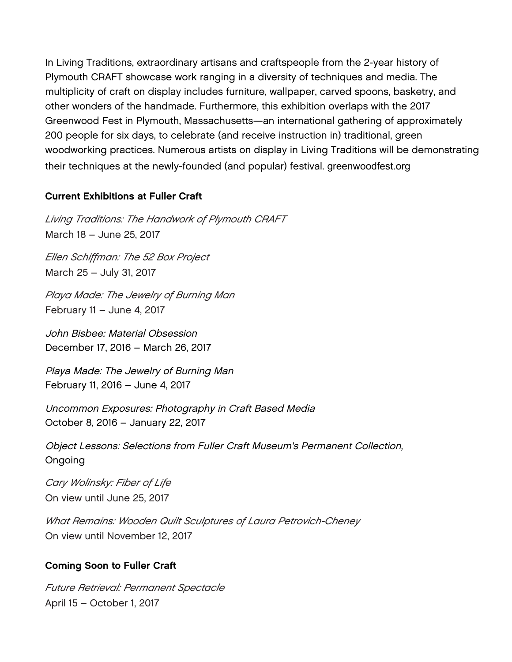In Living Traditions, extraordinary artisans and craftspeople from the 2-year history of Plymouth CRAFT showcase work ranging in a diversity of techniques and media. The multiplicity of craft on display includes furniture, wallpaper, carved spoons, basketry, and other wonders of the handmade. Furthermore, this exhibition overlaps with the 2017 Greenwood Fest in Plymouth, Massachusetts—an international gathering of approximately 200 people for six days, to celebrate (and receive instruction in) traditional, green woodworking practices. Numerous artists on display in Living Traditions will be demonstrating their techniques at the newly-founded (and popular) festival. greenwoodfest.org

#### Current Exhibitions at Fuller Craft

*Living Traditions: The Handwork of Plymouth CRAFT*  March 18 – June 25, 2017

*Ellen Schiffman: The 52 Box Project* March 25 – July 31, 2017

*Playa Made: The Jewelry of Burning Man*  February 11 – June 4, 2017

John Bisbee: Material Obsession December 17, 2016 – March 26, 2017

Playa Made: The Jewelry of Burning Man February 11, 2016 – June 4, 2017

Uncommon Exposures: Photography in Craft Based Media October 8, 2016 – January 22, 2017

Object Lessons: Selections from Fuller Craft Museum's Permanent Collection, Ongoing

*Cary Wolinsky: Fiber of Life*  On view until June 25, 2017

*What Remains: Wooden Quilt Sculptures of Laura Petrovich-Cheney*  On view until November 12, 2017

#### Coming Soon to Fuller Craft

*Future Retrieval: Permanent Spectacle*  April 15 – October 1, 2017